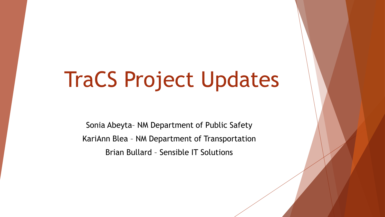## TraCS Project Updates

Sonia Abeyta– NM Department of Public Safety KariAnn Blea – NM Department of Transportation Brian Bullard – Sensible IT Solutions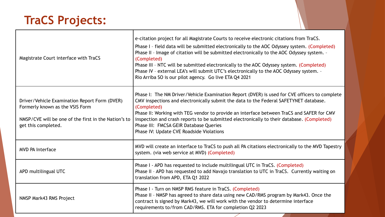## **TraCS Projects:**

| Magistrate Court interface with TraCS                                                                                                                           | e-citation project for all Magistrate Courts to receive electronic citations from TraCS.<br>Phase I - field data will be submitted electronically to the AOC Odyssey system. (Completed)<br>Phase II - Image of citation will be submitted electronically to the AOC Odyssey system. -<br>(Completed)<br>Phase III - NTC will be submitted electronically to the AOC Odyssey system. (Completed)<br>Phase IV - external LEA's will submit UTC's electronically to the AOC Odyssey system. -<br>Rio Arriba SO is our pilot agency. Go live ETA Q4 2021 |
|-----------------------------------------------------------------------------------------------------------------------------------------------------------------|-------------------------------------------------------------------------------------------------------------------------------------------------------------------------------------------------------------------------------------------------------------------------------------------------------------------------------------------------------------------------------------------------------------------------------------------------------------------------------------------------------------------------------------------------------|
| Driver/Vehicle Examination Report Form (DVER)<br>Formerly known as the VSIS Form<br>NMSP/CVE will be one of the first in the Nation's to<br>get this completed. | Phase I: The NM Driver/Vehicle Examination Report (DVER) is used for CVE officers to complete<br>CMV inspections and electronically submit the data to the Federal SAFETYNET database.<br>(Completed)<br>Phase II: Working with TEG vendor to provide an interface between TraCS and SAFER for CMV<br>inspection and crash reports to be submitted electronically to their database. (Completed)<br>Phase III: FMCSA GEIR Database Queries<br>Phase IV: Update CVE Roadside Violations                                                                |
| <b>MVD PA Interface</b>                                                                                                                                         | MVD will create an interface to TraCS to push all PA citations electronically to the MVD Tapestry<br>system. (via web service at MVD) (Completed)                                                                                                                                                                                                                                                                                                                                                                                                     |
| APD multilingual UTC                                                                                                                                            | Phase I - APD has requested to include multilingual UTC in TraCS. (Completed)<br>Phase II - APD has requested to add Navajo translation to UTC in TraCS. Currently waiting on<br>translation from APD, ETA Q1 2022                                                                                                                                                                                                                                                                                                                                    |
| NMSP Mark43 RMS Project                                                                                                                                         | Phase I - Turn on NMSP RMS feature in TraCS. (Completed)<br>Phase II - NMSP has agreed to share data using new CAD/RMS program by Mark43. Once the<br>contract is signed by Mark43, we will work with the vendor to determine interface<br>requirements to/from CAD/RMS. ETA for completion Q2 2023                                                                                                                                                                                                                                                   |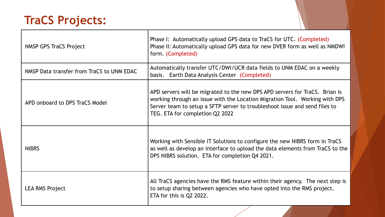## **TraCS Projects:**

| NMSP GPS TraCS Project                    | Phase I: Automatically upload GPS data to TraCS for UTC. (Completed)<br>Phase II: Automatically upload GPS data for new DVER form as well as NMDWI<br>form. (Completed)                                                                                                     |
|-------------------------------------------|-----------------------------------------------------------------------------------------------------------------------------------------------------------------------------------------------------------------------------------------------------------------------------|
| NMSP Data transfer from TraCS to UNM EDAC | Automatically transfer UTC/DWI/UCR data fields to UNM EDAC on a weekly<br>basis. Earth Data Analysis Center (Completed)                                                                                                                                                     |
| APD onboard to DPS TraCS Model            | APD servers will be migrated to the new DPS APD servers for TraCS. Brian is<br>working through an issue with the Location Migration Tool. Working with DPS<br>Server team to setup a SFTP server to troubleshoot issue and send files to<br>TEG. ETA for completion Q2 2022 |
| <b>NIBRS</b>                              | Working with Sensible IT Solutions to configure the new NIBRS form in TraCS<br>as well as develop an interface to upload the data elements from TraCS to the<br>DPS NIBRS solution. ETA for completion Q4 2021.                                                             |
| <b>LEA RMS Project</b>                    | All TraCS agencies have the RMS feature within their agency. The next step is<br>to setup sharing between agencies who have opted into the RMS project.<br>ETA for this is Q2 2022.                                                                                         |